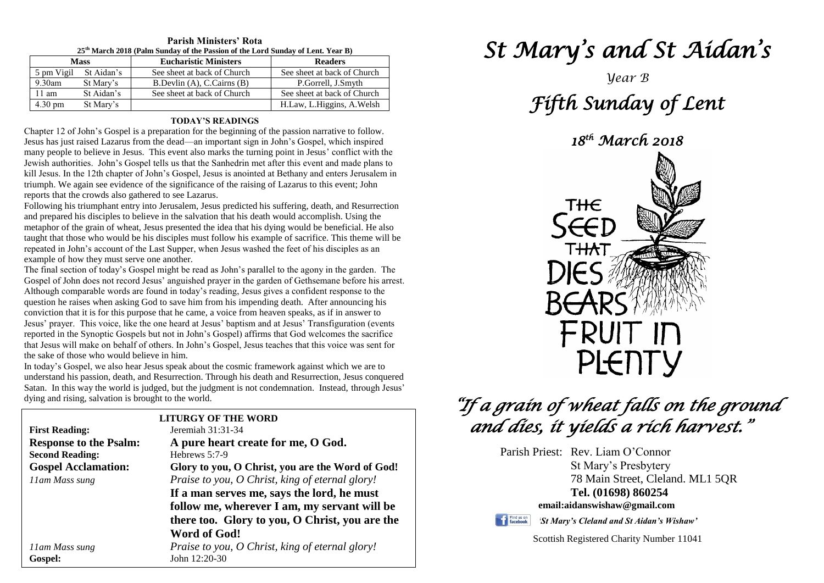| 25 <sup>th</sup> March 2018 (Palm Sunday of the Passion of the Lord Sunday of Lent. Year B) |            |                              |                             |  |  |  |
|---------------------------------------------------------------------------------------------|------------|------------------------------|-----------------------------|--|--|--|
| <b>Mass</b>                                                                                 |            | <b>Eucharistic Ministers</b> | <b>Readers</b>              |  |  |  |
| 5 pm Vigil                                                                                  | St Aidan's | See sheet at back of Church  | See sheet at back of Church |  |  |  |
| $9.30$ am                                                                                   | St Mary's  | B.Devlin (A), C.Cairns (B)   | P.Gorrell, J.Smyth          |  |  |  |
| $11 \text{ am}$                                                                             | St Aidan's | See sheet at back of Church  | See sheet at back of Church |  |  |  |
| $4.30 \text{ pm}$                                                                           | St Mary's  |                              | H.Law, L.Higgins, A.Welsh   |  |  |  |

**Parish Ministers' Rota**

#### **TODAY'S READINGS**

Chapter 12 of John's Gospel is a preparation for the beginning of the passion narrative to follow. Jesus has just raised Lazarus from the dead—an important sign in John's Gospel, which inspired many people to believe in Jesus. This event also marks the turning point in Jesus' conflict with the Jewish authorities. John's Gospel tells us that the Sanhedrin met after this event and made plans to kill Jesus. In the 12th chapter of John's Gospel, Jesus is anointed at Bethany and enters Jerusalem in triumph. We again see evidence of the significance of the raising of Lazarus to this event; John reports that the crowds also gathered to see Lazarus.

Following his triumphant entry into Jerusalem, Jesus predicted his suffering, death, and Resurrection and prepared his disciples to believe in the salvation that his death would accomplish. Using the metaphor of the grain of wheat, Jesus presented the idea that his dying would be beneficial. He also taught that those who would be his disciples must follow his example of sacrifice. This theme will be repeated in John's account of the Last Supper, when Jesus washed the feet of his disciples as an example of how they must serve one another.

question he raises when asking God to save him from his impending death. After announcing hi<br>conviction that it is for this purpose that he came, a voice from heaven speaks, as if in answer to<br>Jesus' prayer. This voice, li reported in the synopic Gospels out not in John's Gospel, Jesus teaches that this voice was sent for that Jesus will make on behalf of others. In John's Gospel, Jesus teaches that this voice was sent for the sake of those The final section of today's Gospel might be read as John's parallel to the agony in the garden. The Gospel of John does not record Jesus' anguished prayer in the garden of Gethsemane before his arrest. Although comparable words are found in today's reading, Jesus gives a confident response to the question he raises when asking God to save him from his impending death. After announcing his Jesus' prayer. This voice, like the one heard at Jesus' baptism and at Jesus' Transfiguration (events reported in the Synoptic Gospels but not in John's Gospel) affirms that God welcomes the sacrifice the sake of those who would believe in him.

In louay s Gosper, we also hear resus speak about the cosince rial heliotic against which we are to<br>understand his passion, death, and Resurrection. Through his death and Resurrection, Jesus conquered<br>Satan. In this way th In today's Gospel, we also hear Jesus speak about the cosmic framework against which we are to Satan. In this way the world is judged, but the judgment is not condemnation. Instead, through Jesus' dying and rising, salvation is brought to the world.

| aying and rising, saivation is brought to the world. |                                                                  |  |  |  |
|------------------------------------------------------|------------------------------------------------------------------|--|--|--|
| <b>LITURGY OF THE WORD</b>                           |                                                                  |  |  |  |
| <b>First Reading:</b>                                | Jeremiah 31:31-34                                                |  |  |  |
| <b>Response to the Psalm:</b>                        | A pure heart create for me, O God.                               |  |  |  |
| <b>Second Reading:</b>                               | Hebrews 5:7-9                                                    |  |  |  |
| <b>Gospel Acclamation:</b>                           | Glory to you, O Christ, you are the Word of God!                 |  |  |  |
| 11am Mass sung                                       | Praise to you, O Christ, king of eternal glory!                  |  |  |  |
|                                                      | If a man serves me, says the lord, he must                       |  |  |  |
|                                                      | follow me, wherever I am, my servant will be                     |  |  |  |
|                                                      | there too. Glory to you, O Christ, you are the                   |  |  |  |
|                                                      | <b>Word of God!</b>                                              |  |  |  |
| 11am Mass sung<br>Gospel:                            | Praise to you, O Christ, king of eternal glory!<br>John 12:20-30 |  |  |  |
|                                                      |                                                                  |  |  |  |

# *St Mary's and St Aidan's*

# *Year B Fifth Sunday of Lent*

*18th March 2018* 



# *"If a grain of wheat falls on the ground and dies, it yields a rich harvest."*

Parish Priest: Rev. Liam O'Connor

St Mary's Presbytery 78 Main Street, Cleland. ML1 5QR **Tel. (01698) 860254 email:aidanswishaw@gmail.com**



*'St Mary's Cleland and St Aidan's Wishaw'*

Scottish Registered Charity Number 11041